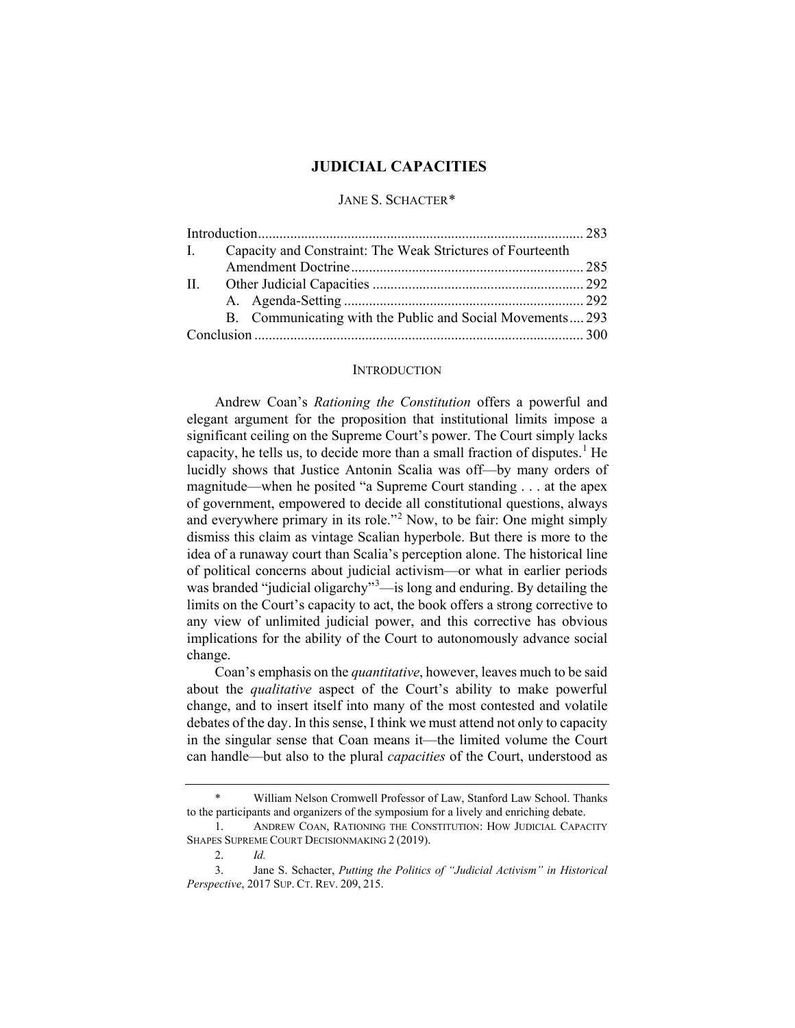# **JUDICIAL CAPACITIES**

## JANE S. SCHACTER[\\*](#page-0-0)

| B. Communicating with the Public and Social Movements 293 |
|-----------------------------------------------------------|
|                                                           |
|                                                           |

#### <span id="page-0-4"></span>**INTRODUCTION**

Andrew Coan's *Rationing the Constitution* offers a powerful and elegant argument for the proposition that institutional limits impose a significant ceiling on the Supreme Court's power. The Court simply lacks capacity, he tells us, to decide more than a small fraction of disputes.<sup>[1](#page-0-1)</sup> He lucidly shows that Justice Antonin Scalia was off—by many orders of magnitude—when he posited "a Supreme Court standing . . . at the apex of government, empowered to decide all constitutional questions, always and everywhere primary in its role."<sup>[2](#page-0-2)</sup> Now, to be fair: One might simply dismiss this claim as vintage Scalian hyperbole. But there is more to the idea of a runaway court than Scalia's perception alone. The historical line of political concerns about judicial activism—or what in earlier periods was branded "judicial oligarchy"<sup>[3](#page-0-3)</sup>—is long and enduring. By detailing the limits on the Court's capacity to act, the book offers a strong corrective to any view of unlimited judicial power, and this corrective has obvious implications for the ability of the Court to autonomously advance social change.

Coan's emphasis on the *quantitative*, however, leaves much to be said about the *qualitative* aspect of the Court's ability to make powerful change, and to insert itself into many of the most contested and volatile debates of the day. In this sense, I think we must attend not only to capacity in the singular sense that Coan means it—the limited volume the Court can handle—but also to the plural *capacities* of the Court, understood as

<span id="page-0-0"></span>William Nelson Cromwell Professor of Law, Stanford Law School. Thanks to the participants and organizers of the symposium for a lively and enriching debate.

<span id="page-0-1"></span><sup>1.</sup> ANDREW COAN, RATIONING THE CONSTITUTION: HOW JUDICIAL CAPACITY SHAPES SUPREME COURT DECISIONMAKING 2 (2019).

<sup>2.</sup> *Id.*

<span id="page-0-3"></span><span id="page-0-2"></span><sup>3.</sup> Jane S. Schacter, *Putting the Politics of "Judicial Activism" in Historical Perspective*, 2017 SUP. CT. REV. 209, 215.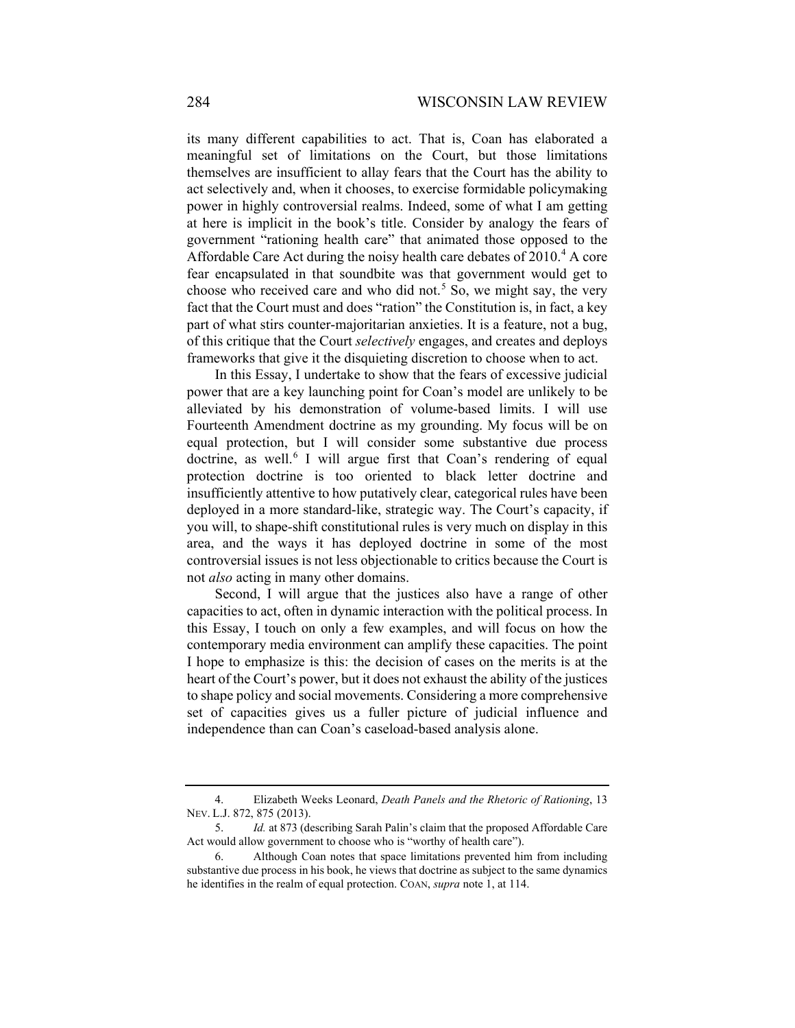its many different capabilities to act. That is, Coan has elaborated a meaningful set of limitations on the Court, but those limitations themselves are insufficient to allay fears that the Court has the ability to act selectively and, when it chooses, to exercise formidable policymaking power in highly controversial realms. Indeed, some of what I am getting at here is implicit in the book's title. Consider by analogy the fears of government "rationing health care" that animated those opposed to the Affordable Care Act during the noisy health care debates of  $2010<sup>4</sup>$  $2010<sup>4</sup>$  $2010<sup>4</sup>$  A core fear encapsulated in that soundbite was that government would get to choose who received care and who did not.<sup>[5](#page-1-1)</sup> So, we might say, the very fact that the Court must and does "ration" the Constitution is, in fact, a key part of what stirs counter-majoritarian anxieties. It is a feature, not a bug, of this critique that the Court *selectively* engages, and creates and deploys frameworks that give it the disquieting discretion to choose when to act.

In this Essay, I undertake to show that the fears of excessive judicial power that are a key launching point for Coan's model are unlikely to be alleviated by his demonstration of volume-based limits. I will use Fourteenth Amendment doctrine as my grounding. My focus will be on equal protection, but I will consider some substantive due process doctrine, as well. $6$  I will argue first that Coan's rendering of equal protection doctrine is too oriented to black letter doctrine and insufficiently attentive to how putatively clear, categorical rules have been deployed in a more standard-like, strategic way. The Court's capacity, if you will, to shape-shift constitutional rules is very much on display in this area, and the ways it has deployed doctrine in some of the most controversial issues is not less objectionable to critics because the Court is not *also* acting in many other domains.

Second, I will argue that the justices also have a range of other capacities to act, often in dynamic interaction with the political process. In this Essay, I touch on only a few examples, and will focus on how the contemporary media environment can amplify these capacities. The point I hope to emphasize is this: the decision of cases on the merits is at the heart of the Court's power, but it does not exhaust the ability of the justices to shape policy and social movements. Considering a more comprehensive set of capacities gives us a fuller picture of judicial influence and independence than can Coan's caseload-based analysis alone.

<span id="page-1-0"></span><sup>4.</sup> Elizabeth Weeks Leonard, *Death Panels and the Rhetoric of Rationing*, 13 NEV. L.J. 872, 875 (2013).

<span id="page-1-1"></span><sup>5.</sup> *Id.* at 873 (describing Sarah Palin's claim that the proposed Affordable Care Act would allow government to choose who is "worthy of health care").

<span id="page-1-2"></span><sup>6.</sup> Although Coan notes that space limitations prevented him from including substantive due process in his book, he views that doctrine as subject to the same dynamics he identifies in the realm of equal protection. COAN, *supra* not[e 1,](#page-0-4) at 114.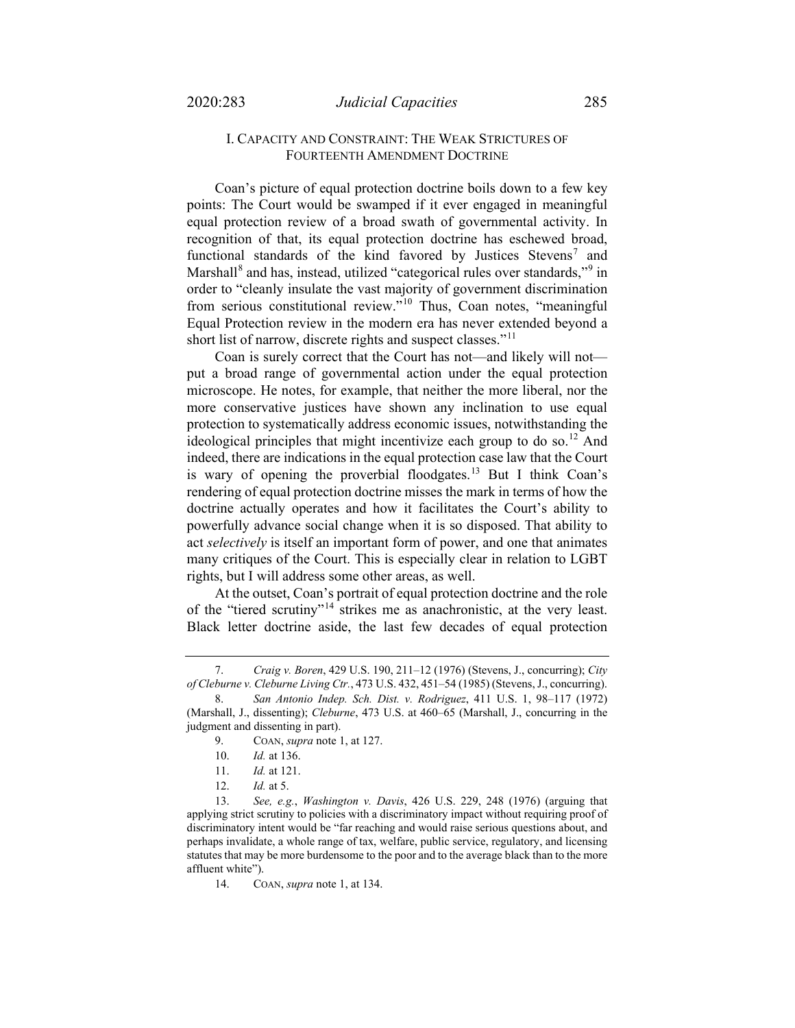## I. CAPACITY AND CONSTRAINT: THE WEAK STRICTURES OF FOURTEENTH AMENDMENT DOCTRINE

Coan's picture of equal protection doctrine boils down to a few key points: The Court would be swamped if it ever engaged in meaningful equal protection review of a broad swath of governmental activity. In recognition of that, its equal protection doctrine has eschewed broad, functional standards of the kind favored by Justices Stevens<sup>[7](#page-2-0)</sup> and Marshall<sup>[8](#page-2-1)</sup> and has, instead, utilized "categorical rules over standards,"<sup>[9](#page-2-2)</sup> in order to "cleanly insulate the vast majority of government discrimination from serious constitutional review."[10](#page-2-3) Thus, Coan notes, "meaningful Equal Protection review in the modern era has never extended beyond a short list of narrow, discrete rights and suspect classes."<sup>[11](#page-2-4)</sup>

Coan is surely correct that the Court has not—and likely will not put a broad range of governmental action under the equal protection microscope. He notes, for example, that neither the more liberal, nor the more conservative justices have shown any inclination to use equal protection to systematically address economic issues, notwithstanding the ideological principles that might incentivize each group to do so.<sup>[12](#page-2-5)</sup> And indeed, there are indications in the equal protection case law that the Court is wary of opening the proverbial floodgates.<sup>[13](#page-2-6)</sup> But I think Coan's rendering of equal protection doctrine misses the mark in terms of how the doctrine actually operates and how it facilitates the Court's ability to powerfully advance social change when it is so disposed. That ability to act *selectively* is itself an important form of power, and one that animates many critiques of the Court. This is especially clear in relation to LGBT rights, but I will address some other areas, as well.

At the outset, Coan's portrait of equal protection doctrine and the role of the "tiered scrutiny"[14](#page-2-7) strikes me as anachronistic, at the very least. Black letter doctrine aside, the last few decades of equal protection

<span id="page-2-0"></span><sup>7.</sup> *Craig v. Boren*, 429 U.S. 190, 211–12 (1976) (Stevens, J., concurring); *City of Cleburne v. Cleburne Living Ctr.*, 473 U.S. 432, 451–54 (1985) (Stevens, J., concurring).

<span id="page-2-2"></span><span id="page-2-1"></span><sup>8.</sup> *San Antonio Indep. Sch. Dist. v. Rodriguez*, 411 U.S. 1, 98–117 (1972) (Marshall, J., dissenting); *Cleburne*, 473 U.S. at 460–65 (Marshall, J., concurring in the judgment and dissenting in part).

<sup>9.</sup> COAN, *supra* not[e 1,](#page-0-4) at 127.

<sup>10.</sup> *Id.* at 136.

<sup>11.</sup> *Id.* at 121.

<sup>12.</sup> *Id.* at 5.

<span id="page-2-7"></span><span id="page-2-6"></span><span id="page-2-5"></span><span id="page-2-4"></span><span id="page-2-3"></span><sup>13.</sup> *See, e.g.*, *Washington v. Davis*, 426 U.S. 229, 248 (1976) (arguing that applying strict scrutiny to policies with a discriminatory impact without requiring proof of discriminatory intent would be "far reaching and would raise serious questions about, and perhaps invalidate, a whole range of tax, welfare, public service, regulatory, and licensing statutes that may be more burdensome to the poor and to the average black than to the more affluent white").

<sup>14.</sup> COAN, *supra* not[e 1,](#page-0-4) at 134.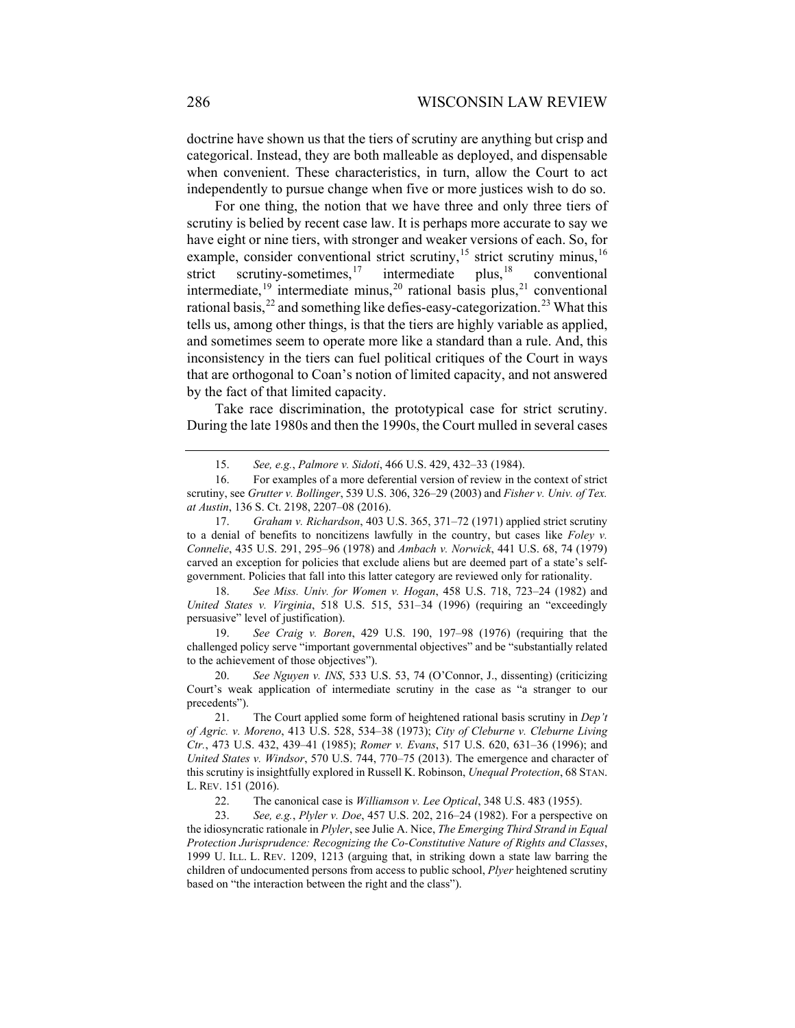doctrine have shown us that the tiers of scrutiny are anything but crisp and categorical. Instead, they are both malleable as deployed, and dispensable when convenient. These characteristics, in turn, allow the Court to act independently to pursue change when five or more justices wish to do so.

For one thing, the notion that we have three and only three tiers of scrutiny is belied by recent case law. It is perhaps more accurate to say we have eight or nine tiers, with stronger and weaker versions of each. So, for example, consider conventional strict scrutiny,<sup>[15](#page-3-0)</sup> strict scrutiny minus,<sup>[16](#page-3-1)</sup> strict scrutiny-sometimes,<sup>17</sup> intermediate plus,<sup>18</sup> conventional strict scrutiny-sometimes, $17$  intermediate plus,  $18$  conventional intermediate,<sup>[19](#page-3-4)</sup> intermediate minus,<sup>[20](#page-3-5)</sup> rational basis plus,<sup>[21](#page-3-6)</sup> conventional rational basis,  $^{22}$  $^{22}$  $^{22}$  and something like defies-easy-categorization.<sup>[23](#page-3-8)</sup> What this tells us, among other things, is that the tiers are highly variable as applied, and sometimes seem to operate more like a standard than a rule. And, this inconsistency in the tiers can fuel political critiques of the Court in ways that are orthogonal to Coan's notion of limited capacity, and not answered by the fact of that limited capacity.

Take race discrimination, the prototypical case for strict scrutiny. During the late 1980s and then the 1990s, the Court mulled in several cases

<span id="page-3-3"></span>18. *See Miss. Univ. for Women v. Hogan*, 458 U.S. 718, 723–24 (1982) and *United States v. Virginia*, 518 U.S. 515, 531–34 (1996) (requiring an "exceedingly persuasive" level of justification).

<span id="page-3-4"></span>19. *See Craig v. Boren*, 429 U.S. 190, 197–98 (1976) (requiring that the challenged policy serve "important governmental objectives" and be "substantially related to the achievement of those objectives").

<span id="page-3-5"></span>20. *See Nguyen v. INS*, 533 U.S. 53, 74 (O'Connor, J., dissenting) (criticizing Court's weak application of intermediate scrutiny in the case as "a stranger to our precedents").

<span id="page-3-6"></span>21. The Court applied some form of heightened rational basis scrutiny in *Dep't of Agric. v. Moreno*, 413 U.S. 528, 534–38 (1973); *City of Cleburne v. Cleburne Living Ctr.*, 473 U.S. 432, 439–41 (1985); *Romer v. Evans*, 517 U.S. 620, 631–36 (1996); and *United States v. Windsor*, 570 U.S. 744, 770–75 (2013). The emergence and character of this scrutiny is insightfully explored in Russell K. Robinson, *Unequal Protection*, 68 STAN. L. REV. 151 (2016).

22. The canonical case is *Williamson v. Lee Optical*, 348 U.S. 483 (1955).

<span id="page-3-8"></span><span id="page-3-7"></span>23. *See, e.g.*, *Plyler v. Doe*, 457 U.S. 202, 216–24 (1982). For a perspective on the idiosyncratic rationale in *Plyler*, see Julie A. Nice, *The Emerging Third Strand in Equal Protection Jurisprudence: Recognizing the Co-Constitutive Nature of Rights and Classes*, 1999 U. ILL. L. REV. 1209, 1213 (arguing that, in striking down a state law barring the children of undocumented persons from access to public school, *Plyer* heightened scrutiny based on "the interaction between the right and the class").

<sup>15.</sup> *See, e.g.*, *Palmore v. Sidoti*, 466 U.S. 429, 432–33 (1984).

<span id="page-3-1"></span><span id="page-3-0"></span><sup>16.</sup> For examples of a more deferential version of review in the context of strict scrutiny, see *Grutter v. Bollinger*, 539 U.S. 306, 326–29 (2003) and *Fisher v. Univ. of Tex. at Austin*, 136 S. Ct. 2198, 2207–08 (2016).

<span id="page-3-2"></span><sup>17.</sup> *Graham v. Richardson*, 403 U.S. 365, 371–72 (1971) applied strict scrutiny to a denial of benefits to noncitizens lawfully in the country, but cases like *Foley v. Connelie*, 435 U.S. 291, 295–96 (1978) and *Ambach v. Norwick*, 441 U.S. 68, 74 (1979) carved an exception for policies that exclude aliens but are deemed part of a state's selfgovernment. Policies that fall into this latter category are reviewed only for rationality.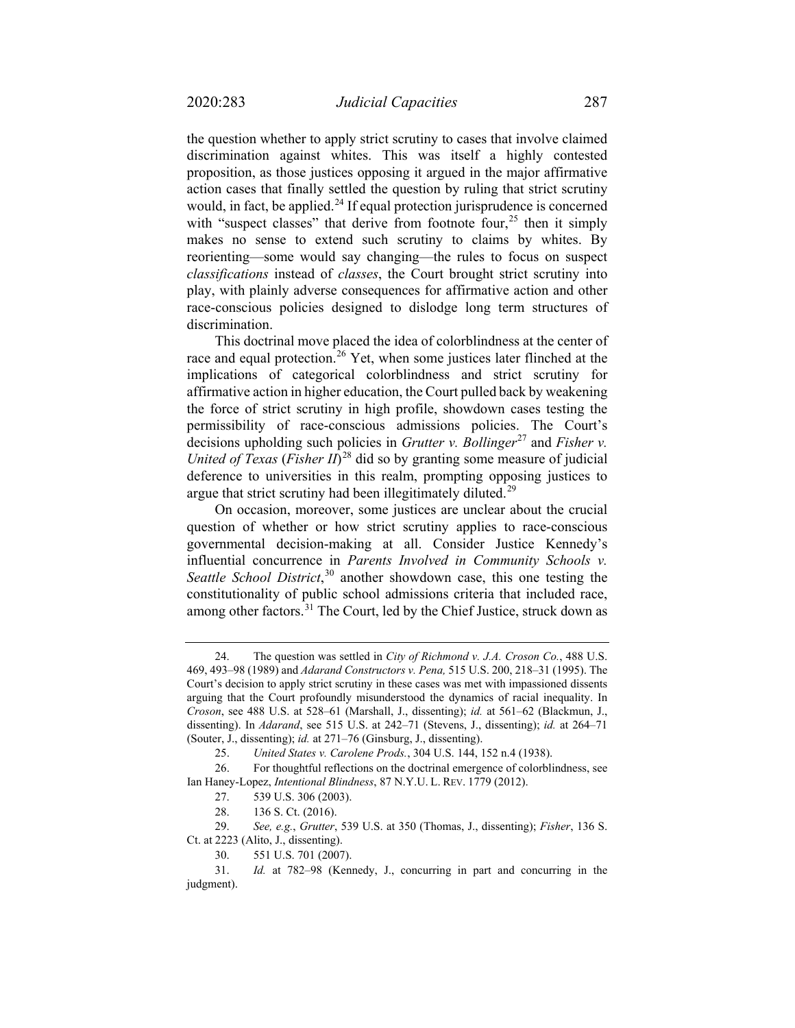the question whether to apply strict scrutiny to cases that involve claimed discrimination against whites. This was itself a highly contested proposition, as those justices opposing it argued in the major affirmative action cases that finally settled the question by ruling that strict scrutiny would, in fact, be applied. $^{24}$  $^{24}$  $^{24}$  If equal protection jurisprudence is concerned with "suspect classes" that derive from footnote four,  $2^5$  then it simply makes no sense to extend such scrutiny to claims by whites. By reorienting—some would say changing—the rules to focus on suspect *classifications* instead of *classes*, the Court brought strict scrutiny into play, with plainly adverse consequences for affirmative action and other race-conscious policies designed to dislodge long term structures of discrimination.

This doctrinal move placed the idea of colorblindness at the center of race and equal protection.<sup>[26](#page-4-2)</sup> Yet, when some justices later flinched at the implications of categorical colorblindness and strict scrutiny for affirmative action in higher education, the Court pulled back by weakening the force of strict scrutiny in high profile, showdown cases testing the permissibility of race-conscious admissions policies. The Court's decisions upholding such policies in *Grutter v. Bollinger*<sup>[27](#page-4-3)</sup> and *Fisher v. United of Texas* (*Fisher II*) [28](#page-4-4) did so by granting some measure of judicial deference to universities in this realm, prompting opposing justices to argue that strict scrutiny had been illegitimately diluted.<sup>[29](#page-4-5)</sup>

On occasion, moreover, some justices are unclear about the crucial question of whether or how strict scrutiny applies to race-conscious governmental decision-making at all. Consider Justice Kennedy's influential concurrence in *Parents Involved in Community Schools v. Seattle School District*, [30](#page-4-6) another showdown case, this one testing the constitutionality of public school admissions criteria that included race, among other factors.<sup>[31](#page-4-7)</sup> The Court, led by the Chief Justice, struck down as

<span id="page-4-0"></span><sup>24.</sup> The question was settled in *City of Richmond v. J.A. Croson Co.*, 488 U.S. 469, 493–98 (1989) and *Adarand Constructors v. Pena,* 515 U.S. 200, 218–31 (1995). The Court's decision to apply strict scrutiny in these cases was met with impassioned dissents arguing that the Court profoundly misunderstood the dynamics of racial inequality. In *Croson*, see 488 U.S. at 528–61 (Marshall, J., dissenting); *id.* at 561–62 (Blackmun, J., dissenting). In *Adarand*, see 515 U.S. at 242–71 (Stevens, J., dissenting); *id.* at 264–71 (Souter, J., dissenting); *id.* at 271–76 (Ginsburg, J., dissenting).

<sup>25.</sup> *United States v. Carolene Prods.*, 304 U.S. 144, 152 n.4 (1938).

<span id="page-4-3"></span><span id="page-4-2"></span><span id="page-4-1"></span><sup>26.</sup> For thoughtful reflections on the doctrinal emergence of colorblindness, see Ian Haney-Lopez, *Intentional Blindness*, 87 N.Y.U. L. REV. 1779 (2012).

<sup>27.</sup> 539 U.S. 306 (2003).

<sup>28.</sup> 136 S. Ct. (2016).

<span id="page-4-5"></span><span id="page-4-4"></span><sup>29.</sup> *See, e.g.*, *Grutter*, 539 U.S. at 350 (Thomas, J., dissenting); *Fisher*, 136 S. Ct. at 2223 (Alito, J., dissenting).

<sup>30.</sup> 551 U.S. 701 (2007).

<span id="page-4-7"></span><span id="page-4-6"></span><sup>31.</sup> *Id.* at 782–98 (Kennedy, J., concurring in part and concurring in the judgment).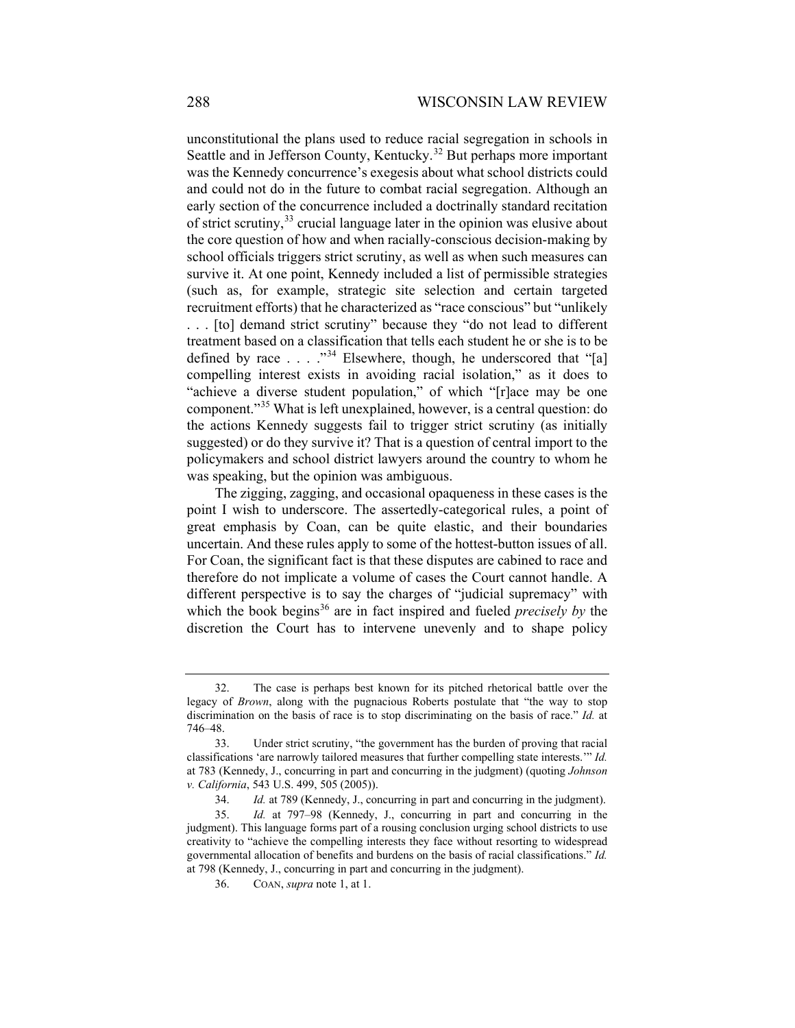<span id="page-5-5"></span>unconstitutional the plans used to reduce racial segregation in schools in Seattle and in Jefferson County, Kentucky.<sup>[32](#page-5-0)</sup> But perhaps more important was the Kennedy concurrence's exegesis about what school districts could and could not do in the future to combat racial segregation. Although an early section of the concurrence included a doctrinally standard recitation of strict scrutiny,  $33$  crucial language later in the opinion was elusive about the core question of how and when racially-conscious decision-making by school officials triggers strict scrutiny, as well as when such measures can survive it. At one point, Kennedy included a list of permissible strategies (such as, for example, strategic site selection and certain targeted recruitment efforts) that he characterized as "race conscious" but "unlikely . . . [to] demand strict scrutiny" because they "do not lead to different treatment based on a classification that tells each student he or she is to be defined by race  $\dots$  ."<sup>[34](#page-5-2)</sup> Elsewhere, though, he underscored that "[a] compelling interest exists in avoiding racial isolation," as it does to "achieve a diverse student population," of which "[r]ace may be one component."[35](#page-5-3) What is left unexplained, however, is a central question: do the actions Kennedy suggests fail to trigger strict scrutiny (as initially suggested) or do they survive it? That is a question of central import to the policymakers and school district lawyers around the country to whom he was speaking, but the opinion was ambiguous.

The zigging, zagging, and occasional opaqueness in these cases is the point I wish to underscore. The assertedly-categorical rules, a point of great emphasis by Coan, can be quite elastic, and their boundaries uncertain. And these rules apply to some of the hottest-button issues of all. For Coan, the significant fact is that these disputes are cabined to race and therefore do not implicate a volume of cases the Court cannot handle. A different perspective is to say the charges of "judicial supremacy" with which the book begins<sup>[36](#page-5-4)</sup> are in fact inspired and fueled *precisely by* the discretion the Court has to intervene unevenly and to shape policy

<span id="page-5-0"></span><sup>32.</sup> The case is perhaps best known for its pitched rhetorical battle over the legacy of *Brown*, along with the pugnacious Roberts postulate that "the way to stop discrimination on the basis of race is to stop discriminating on the basis of race." *Id.* at 746–48.

<span id="page-5-1"></span><sup>33.</sup> Under strict scrutiny, "the government has the burden of proving that racial classifications 'are narrowly tailored measures that further compelling state interests.'" *Id.* at 783 (Kennedy, J., concurring in part and concurring in the judgment) (quoting *Johnson v. California*, 543 U.S. 499, 505 (2005)).

<sup>34.</sup> *Id.* at 789 (Kennedy, J., concurring in part and concurring in the judgment).

<span id="page-5-4"></span><span id="page-5-3"></span><span id="page-5-2"></span><sup>35.</sup> *Id.* at 797–98 (Kennedy, J., concurring in part and concurring in the judgment). This language forms part of a rousing conclusion urging school districts to use creativity to "achieve the compelling interests they face without resorting to widespread governmental allocation of benefits and burdens on the basis of racial classifications." *Id.* at 798 (Kennedy, J., concurring in part and concurring in the judgment).

<sup>36.</sup> COAN, *supra* not[e 1,](#page-0-4) at 1.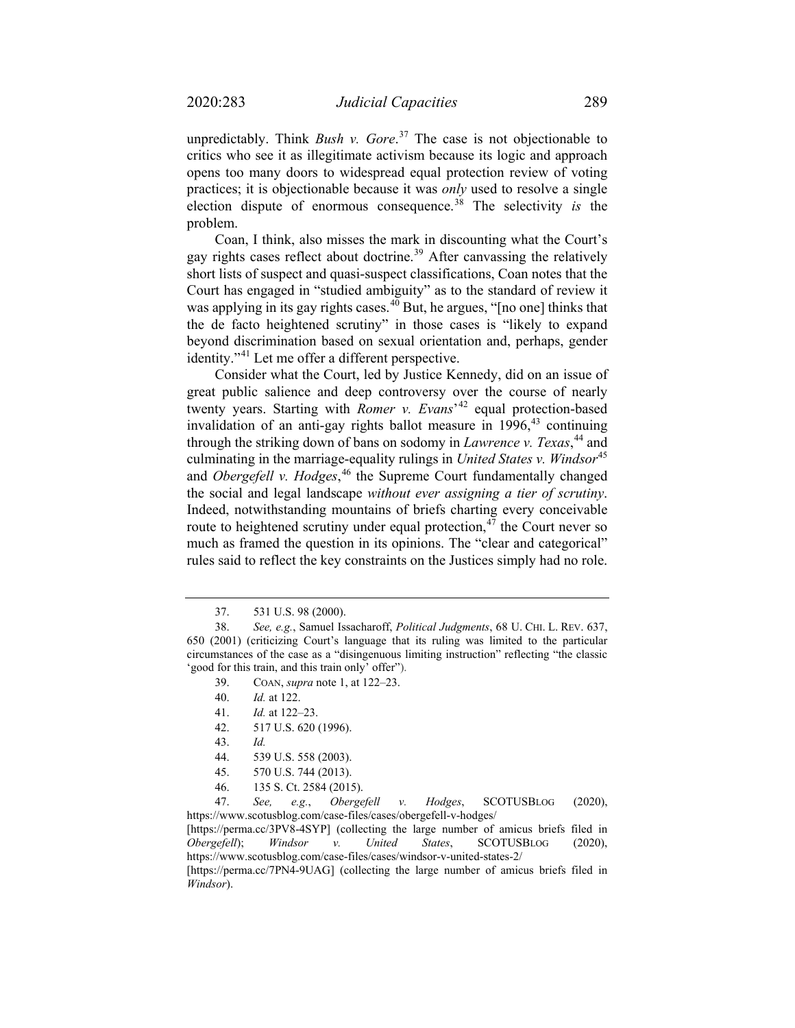unpredictably. Think *Bush v. Gore*. [37](#page-6-0) The case is not objectionable to critics who see it as illegitimate activism because its logic and approach opens too many doors to widespread equal protection review of voting practices; it is objectionable because it was *only* used to resolve a single election dispute of enormous consequence.[38](#page-6-1) The selectivity *is* the problem.

Coan, I think, also misses the mark in discounting what the Court's gay rights cases reflect about doctrine.<sup>[39](#page-6-2)</sup> After canvassing the relatively short lists of suspect and quasi-suspect classifications, Coan notes that the Court has engaged in "studied ambiguity" as to the standard of review it was applying in its gay rights cases. $4\overline{0}$  But, he argues, "[no one] thinks that the de facto heightened scrutiny" in those cases is "likely to expand beyond discrimination based on sexual orientation and, perhaps, gender identity."[41](#page-6-4) Let me offer a different perspective.

Consider what the Court, led by Justice Kennedy, did on an issue of great public salience and deep controversy over the course of nearly twenty years. Starting with *Romer v. Evans*' [42](#page-6-5) equal protection-based invalidation of an anti-gay rights ballot measure in  $1996$ ,<sup>[43](#page-6-6)</sup> continuing through the striking down of bans on sodomy in *Lawrence v. Texas*, [44](#page-6-7) and culminating in the marriage-equality rulings in *United States v. Windsor*[45](#page-6-8) and *Obergefell v. Hodges*, [46](#page-6-9) the Supreme Court fundamentally changed the social and legal landscape *without ever assigning a tier of scrutiny*. Indeed, notwithstanding mountains of briefs charting every conceivable route to heightened scrutiny under equal protection, $47$  the Court never so much as framed the question in its opinions. The "clear and categorical" rules said to reflect the key constraints on the Justices simply had no role.

- 39. COAN, *supra* not[e 1,](#page-0-4) at 122–23.
- 40. *Id.* at 122.
- 41. *Id.* at 122–23.
- 42. 517 U.S. 620 (1996).
- 43. *Id.*
- 44. 539 U.S. 558 (2003).
- 45. 570 U.S. 744 (2013).
- 46. 135 S. Ct. 2584 (2015).

<span id="page-6-10"></span><span id="page-6-9"></span><span id="page-6-8"></span><span id="page-6-7"></span><span id="page-6-6"></span><span id="page-6-5"></span>47. *See, e.g.*, *Obergefell v. Hodges*, SCOTUSBLOG (2020), https://www.scotusblog.com/case-files/cases/obergefell-v-hodges/

[https://perma.cc/3PV8-4SYP] (collecting the large number of amicus briefs filed in *Obergefell*); *Windsor v. United States*, SCOTUSBLOG (2020), https://www.scotusblog.com/case-files/cases/windsor-v-united-states-2/

[https://perma.cc/7PN4-9UAG] (collecting the large number of amicus briefs filed in *Windsor*).

<sup>37.</sup> 531 U.S. 98 (2000).

<span id="page-6-4"></span><span id="page-6-3"></span><span id="page-6-2"></span><span id="page-6-1"></span><span id="page-6-0"></span><sup>38.</sup> *See, e.g.*, Samuel Issacharoff, *Political Judgments*, 68 U. CHI. L. REV. 637, 650 (2001) (criticizing Court's language that its ruling was limited to the particular circumstances of the case as a "disingenuous limiting instruction" reflecting "the classic 'good for this train, and this train only' offer").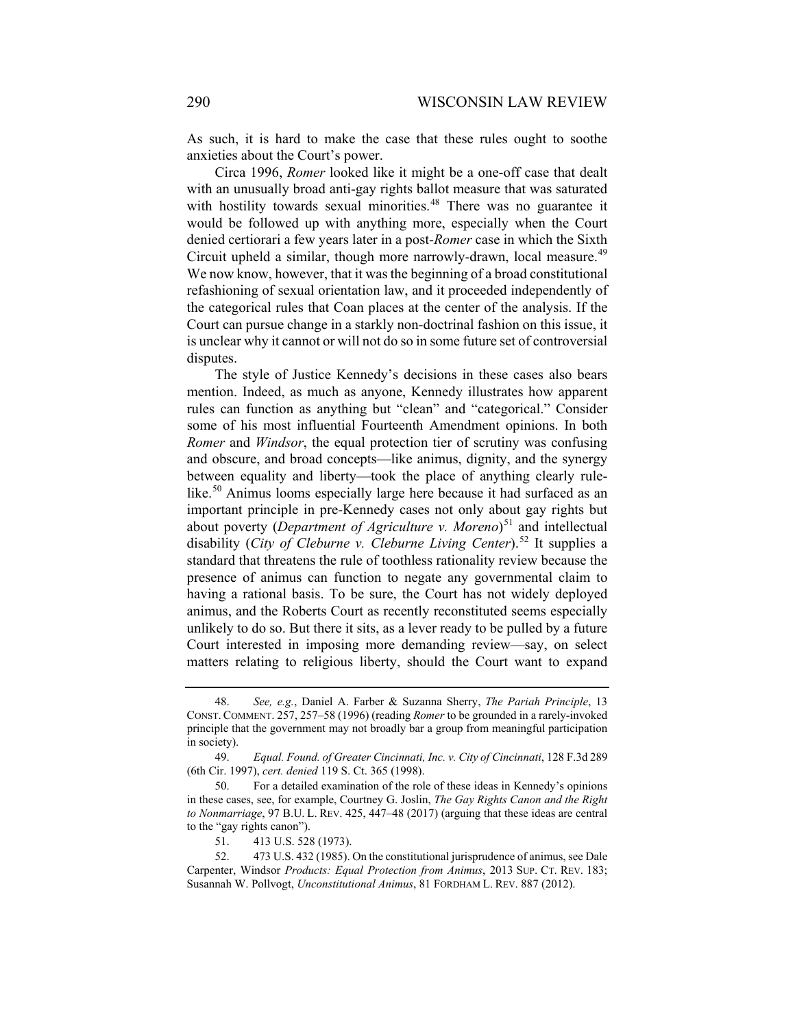As such, it is hard to make the case that these rules ought to soothe anxieties about the Court's power.

Circa 1996, *Romer* looked like it might be a one-off case that dealt with an unusually broad anti-gay rights ballot measure that was saturated with hostility towards sexual minorities.<sup>[48](#page-7-0)</sup> There was no guarantee it would be followed up with anything more, especially when the Court denied certiorari a few years later in a post-*Romer* case in which the Sixth Circuit upheld a similar, though more narrowly-drawn, local measure.<sup>[49](#page-7-1)</sup> We now know, however, that it was the beginning of a broad constitutional refashioning of sexual orientation law, and it proceeded independently of the categorical rules that Coan places at the center of the analysis. If the Court can pursue change in a starkly non-doctrinal fashion on this issue, it is unclear why it cannot or will not do so in some future set of controversial disputes.

The style of Justice Kennedy's decisions in these cases also bears mention. Indeed, as much as anyone, Kennedy illustrates how apparent rules can function as anything but "clean" and "categorical." Consider some of his most influential Fourteenth Amendment opinions. In both *Romer* and *Windsor*, the equal protection tier of scrutiny was confusing and obscure, and broad concepts—like animus, dignity, and the synergy between equality and liberty—took the place of anything clearly rule-like.<sup>[50](#page-7-2)</sup> Animus looms especially large here because it had surfaced as an important principle in pre-Kennedy cases not only about gay rights but about poverty (*Department of Agriculture v. Moreno*) [51](#page-7-3) and intellectual disability (*City of Cleburne v. Cleburne Living Center*).[52](#page-7-4) It supplies a standard that threatens the rule of toothless rationality review because the presence of animus can function to negate any governmental claim to having a rational basis. To be sure, the Court has not widely deployed animus, and the Roberts Court as recently reconstituted seems especially unlikely to do so. But there it sits, as a lever ready to be pulled by a future Court interested in imposing more demanding review—say, on select matters relating to religious liberty, should the Court want to expand

<span id="page-7-0"></span><sup>48.</sup> *See, e.g.*, Daniel A. Farber & Suzanna Sherry, *The Pariah Principle*, 13 CONST. COMMENT. 257, 257–58 (1996) (reading *Romer* to be grounded in a rarely-invoked principle that the government may not broadly bar a group from meaningful participation in society).

<span id="page-7-1"></span><sup>49.</sup> *Equal. Found. of Greater Cincinnati, Inc. v. City of Cincinnati*, 128 F.3d 289 (6th Cir. 1997), *cert. denied* 119 S. Ct. 365 (1998).

<span id="page-7-2"></span><sup>50.</sup> For a detailed examination of the role of these ideas in Kennedy's opinions in these cases, see, for example, Courtney G. Joslin, *The Gay Rights Canon and the Right to Nonmarriage*, 97 B.U. L. REV. 425, 447–48 (2017) (arguing that these ideas are central to the "gay rights canon").

<sup>51.</sup> 413 U.S. 528 (1973).

<span id="page-7-4"></span><span id="page-7-3"></span><sup>52.</sup> 473 U.S. 432 (1985). On the constitutional jurisprudence of animus, see Dale Carpenter, Windsor *Products: Equal Protection from Animus*, 2013 SUP. CT. REV. 183; Susannah W. Pollvogt, *Unconstitutional Animus*, 81 FORDHAM L. REV. 887 (2012).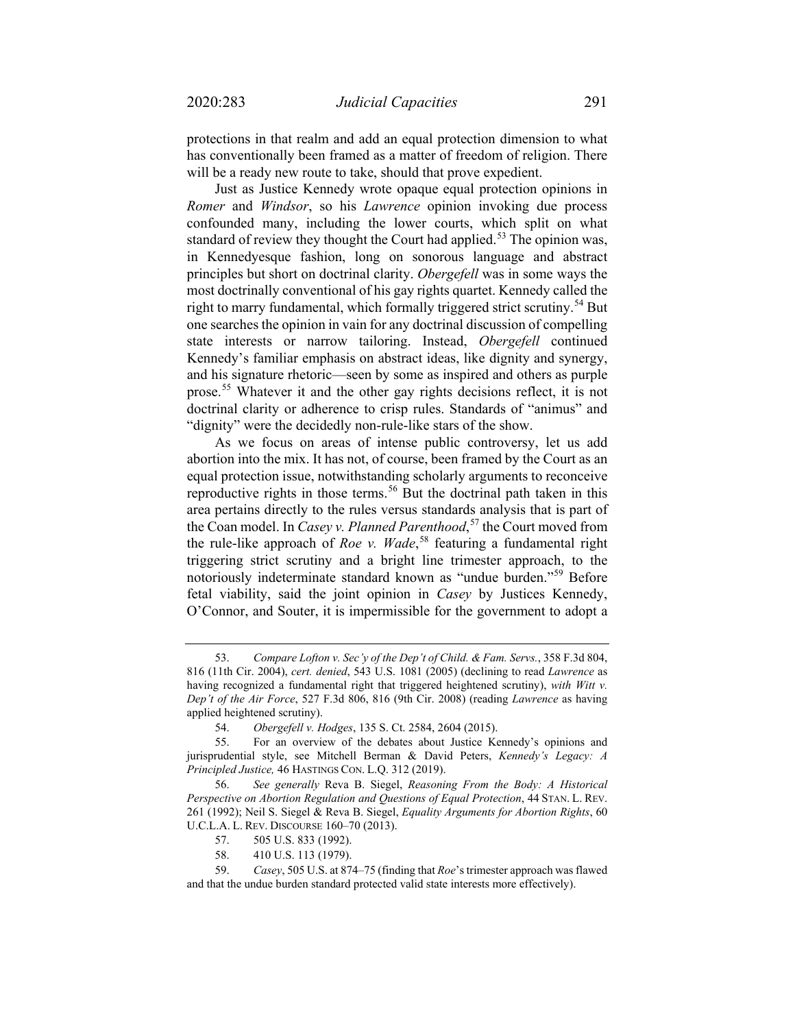protections in that realm and add an equal protection dimension to what has conventionally been framed as a matter of freedom of religion. There will be a ready new route to take, should that prove expedient.

Just as Justice Kennedy wrote opaque equal protection opinions in *Romer* and *Windsor*, so his *Lawrence* opinion invoking due process confounded many, including the lower courts, which split on what standard of review they thought the Court had applied.<sup>[53](#page-8-0)</sup> The opinion was, in Kennedyesque fashion, long on sonorous language and abstract principles but short on doctrinal clarity. *Obergefell* was in some ways the most doctrinally conventional of his gay rights quartet. Kennedy called the right to marry fundamental, which formally triggered strict scrutiny.<sup>[54](#page-8-1)</sup> But one searches the opinion in vain for any doctrinal discussion of compelling state interests or narrow tailoring. Instead, *Obergefell* continued Kennedy's familiar emphasis on abstract ideas, like dignity and synergy, and his signature rhetoric—seen by some as inspired and others as purple prose.[55](#page-8-2) Whatever it and the other gay rights decisions reflect, it is not doctrinal clarity or adherence to crisp rules. Standards of "animus" and "dignity" were the decidedly non-rule-like stars of the show.

As we focus on areas of intense public controversy, let us add abortion into the mix. It has not, of course, been framed by the Court as an equal protection issue, notwithstanding scholarly arguments to reconceive reproductive rights in those terms.<sup>[56](#page-8-3)</sup> But the doctrinal path taken in this area pertains directly to the rules versus standards analysis that is part of the Coan model. In *Casey v. Planned Parenthood*, [57](#page-8-4) the Court moved from the rule-like approach of *Roe v. Wade*, [58](#page-8-5) featuring a fundamental right triggering strict scrutiny and a bright line trimester approach, to the notoriously indeterminate standard known as "undue burden."[59](#page-8-6) Before fetal viability, said the joint opinion in *Casey* by Justices Kennedy, O'Connor, and Souter, it is impermissible for the government to adopt a

58. 410 U.S. 113 (1979).

<span id="page-8-0"></span><sup>53.</sup> *Compare Lofton v. Sec'y of the Dep't of Child. & Fam. Servs.*, 358 F.3d 804, 816 (11th Cir. 2004), *cert. denied*, 543 U.S. 1081 (2005) (declining to read *Lawrence* as having recognized a fundamental right that triggered heightened scrutiny), *with Witt v. Dep't of the Air Force*, 527 F.3d 806, 816 (9th Cir. 2008) (reading *Lawrence* as having applied heightened scrutiny).

<sup>54.</sup> *Obergefell v. Hodges*, 135 S. Ct. 2584, 2604 (2015).

<span id="page-8-2"></span><span id="page-8-1"></span><sup>55.</sup> For an overview of the debates about Justice Kennedy's opinions and jurisprudential style, see Mitchell Berman & David Peters, *Kennedy's Legacy: A Principled Justice,* 46 HASTINGS CON. L.Q. 312 (2019).

<span id="page-8-3"></span><sup>56.</sup> *See generally* Reva B. Siegel, *Reasoning From the Body: A Historical Perspective on Abortion Regulation and Questions of Equal Protection*, 44 STAN. L. REV. 261 (1992); Neil S. Siegel & Reva B. Siegel, *Equality Arguments for Abortion Rights*, 60 U.C.L.A. L. REV. DISCOURSE 160–70 (2013).

<sup>57.</sup> 505 U.S. 833 (1992).

<span id="page-8-6"></span><span id="page-8-5"></span><span id="page-8-4"></span><sup>59.</sup> *Casey*, 505 U.S. at 874–75 (finding that *Roe*'s trimester approach was flawed and that the undue burden standard protected valid state interests more effectively).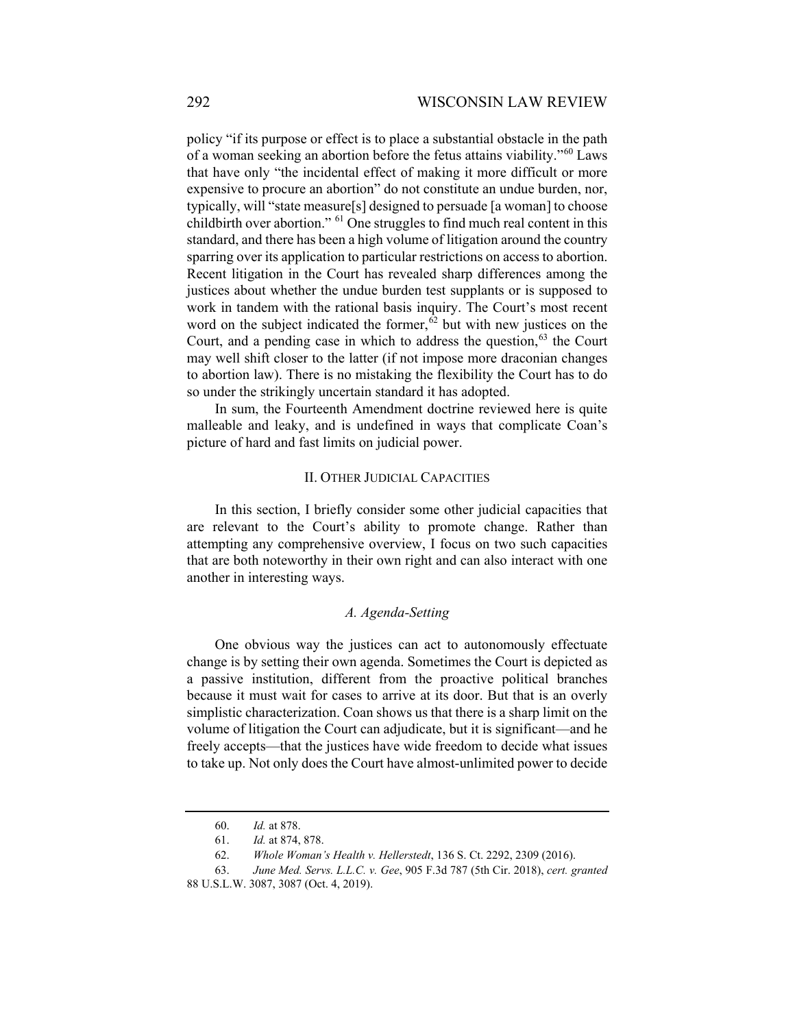policy "if its purpose or effect is to place a substantial obstacle in the path of a woman seeking an abortion before the fetus attains viability."[60](#page-9-0) Laws that have only "the incidental effect of making it more difficult or more expensive to procure an abortion" do not constitute an undue burden, nor, typically, will "state measure[s] designed to persuade [a woman] to choose childbirth over abortion." [61](#page-9-1) One struggles to find much real content in this standard, and there has been a high volume of litigation around the country sparring over its application to particular restrictions on access to abortion. Recent litigation in the Court has revealed sharp differences among the justices about whether the undue burden test supplants or is supposed to work in tandem with the rational basis inquiry. The Court's most recent word on the subject indicated the former,  $62$  but with new justices on the Court, and a pending case in which to address the question,  $63$  the Court may well shift closer to the latter (if not impose more draconian changes to abortion law). There is no mistaking the flexibility the Court has to do so under the strikingly uncertain standard it has adopted.

In sum, the Fourteenth Amendment doctrine reviewed here is quite malleable and leaky, and is undefined in ways that complicate Coan's picture of hard and fast limits on judicial power.

## II. OTHER JUDICIAL CAPACITIES

In this section, I briefly consider some other judicial capacities that are relevant to the Court's ability to promote change. Rather than attempting any comprehensive overview, I focus on two such capacities that are both noteworthy in their own right and can also interact with one another in interesting ways.

### *A. Agenda-Setting*

One obvious way the justices can act to autonomously effectuate change is by setting their own agenda. Sometimes the Court is depicted as a passive institution, different from the proactive political branches because it must wait for cases to arrive at its door. But that is an overly simplistic characterization. Coan shows us that there is a sharp limit on the volume of litigation the Court can adjudicate, but it is significant—and he freely accepts—that the justices have wide freedom to decide what issues to take up. Not only does the Court have almost-unlimited power to decide

<sup>60.</sup> *Id.* at 878.

<sup>61.</sup> *Id.* at 874, 878.

<sup>62.</sup> *Whole Woman's Health v. Hellerstedt*, 136 S. Ct. 2292, 2309 (2016).

<span id="page-9-3"></span><span id="page-9-2"></span><span id="page-9-1"></span><span id="page-9-0"></span><sup>63.</sup> *June Med. Servs. L.L.C. v. Gee*, 905 F.3d 787 (5th Cir. 2018), *cert. granted* 88 U.S.L.W. 3087, 3087 (Oct. 4, 2019).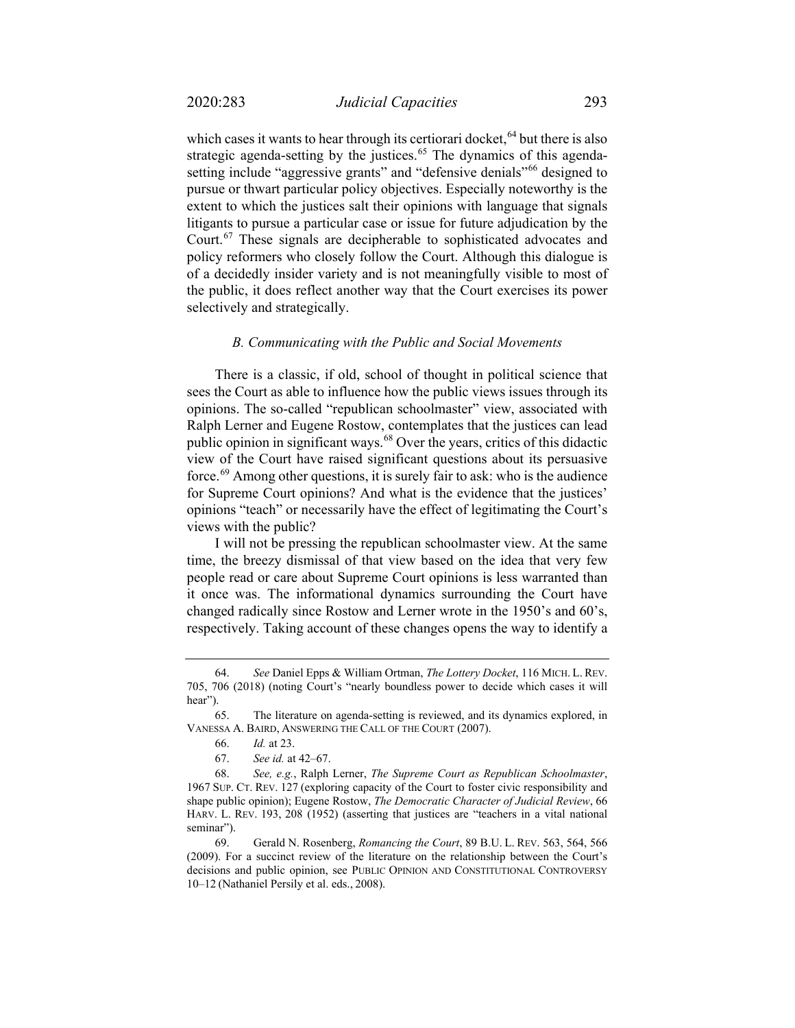which cases it wants to hear through its certiorari docket, <sup>[64](#page-10-0)</sup> but there is also strategic agenda-setting by the justices.<sup>[65](#page-10-1)</sup> The dynamics of this agenda-setting include "aggressive grants" and "defensive denials"<sup>[66](#page-10-2)</sup> designed to pursue or thwart particular policy objectives. Especially noteworthy is the extent to which the justices salt their opinions with language that signals litigants to pursue a particular case or issue for future adjudication by the Court.[67](#page-10-3) These signals are decipherable to sophisticated advocates and policy reformers who closely follow the Court. Although this dialogue is of a decidedly insider variety and is not meaningfully visible to most of the public, it does reflect another way that the Court exercises its power selectively and strategically.

#### *B. Communicating with the Public and Social Movements*

There is a classic, if old, school of thought in political science that sees the Court as able to influence how the public views issues through its opinions. The so-called "republican schoolmaster" view, associated with Ralph Lerner and Eugene Rostow, contemplates that the justices can lead public opinion in significant ways.<sup>[68](#page-10-4)</sup> Over the years, critics of this didactic view of the Court have raised significant questions about its persuasive force.[69](#page-10-5) Among other questions, it is surely fair to ask: who is the audience for Supreme Court opinions? And what is the evidence that the justices' opinions "teach" or necessarily have the effect of legitimating the Court's views with the public?

I will not be pressing the republican schoolmaster view. At the same time, the breezy dismissal of that view based on the idea that very few people read or care about Supreme Court opinions is less warranted than it once was. The informational dynamics surrounding the Court have changed radically since Rostow and Lerner wrote in the 1950's and 60's, respectively. Taking account of these changes opens the way to identify a

<span id="page-10-0"></span><sup>64.</sup> *See* Daniel Epps & William Ortman, *The Lottery Docket*, 116 MICH. L. REV. 705, 706 (2018) (noting Court's "nearly boundless power to decide which cases it will hear").

<span id="page-10-2"></span><span id="page-10-1"></span><sup>65.</sup> The literature on agenda-setting is reviewed, and its dynamics explored, in VANESSA A. BAIRD, ANSWERING THE CALL OF THE COURT (2007).

<sup>66.</sup> *Id.* at 23.

<sup>67.</sup> *See id.* at 42–67.

<span id="page-10-4"></span><span id="page-10-3"></span><sup>68.</sup> *See, e.g.*, Ralph Lerner, *The Supreme Court as Republican Schoolmaster*, 1967 SUP. CT. REV. 127 (exploring capacity of the Court to foster civic responsibility and shape public opinion); Eugene Rostow, *The Democratic Character of Judicial Review*, 66 HARV. L. REV. 193, 208 (1952) (asserting that justices are "teachers in a vital national seminar").

<span id="page-10-5"></span><sup>69.</sup> Gerald N. Rosenberg, *Romancing the Court*, 89 B.U. L. REV. 563, 564, 566 (2009). For a succinct review of the literature on the relationship between the Court's decisions and public opinion, see PUBLIC OPINION AND CONSTITUTIONAL CONTROVERSY 10–12 (Nathaniel Persily et al. eds., 2008).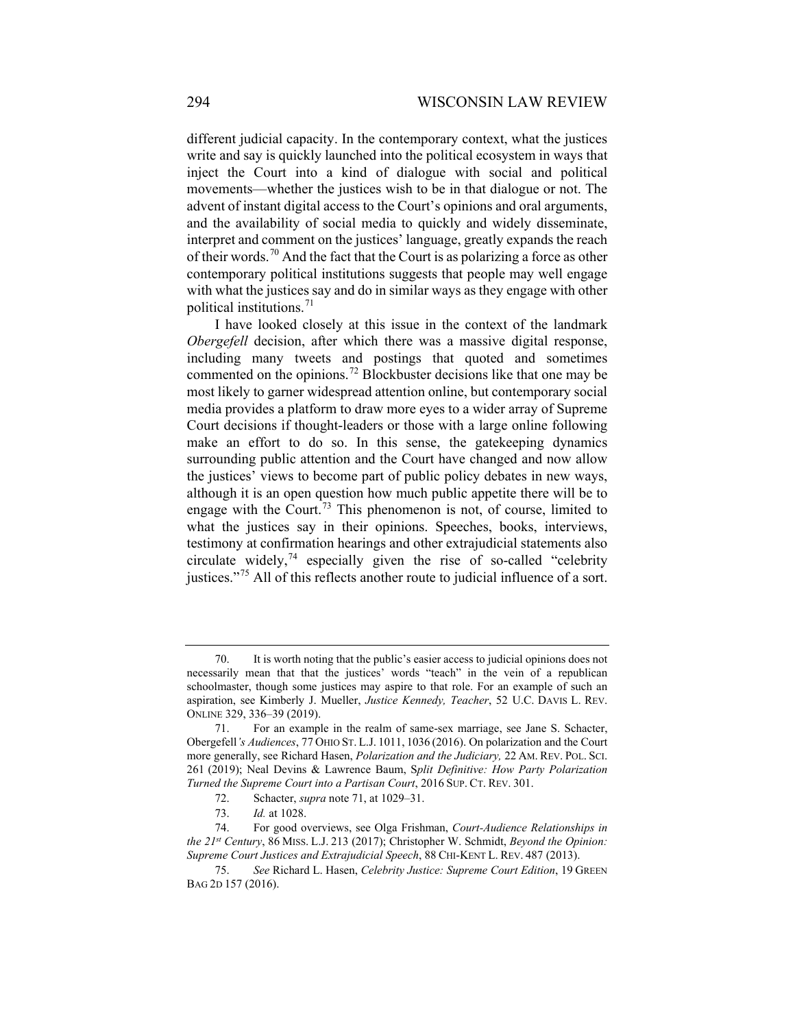different judicial capacity. In the contemporary context, what the justices write and say is quickly launched into the political ecosystem in ways that inject the Court into a kind of dialogue with social and political movements—whether the justices wish to be in that dialogue or not. The advent of instant digital access to the Court's opinions and oral arguments, and the availability of social media to quickly and widely disseminate, interpret and comment on the justices' language, greatly expands the reach of their words.<sup>[70](#page-11-1)</sup> And the fact that the Court is as polarizing a force as other contemporary political institutions suggests that people may well engage with what the justices say and do in similar ways as they engage with other political institutions.<sup>[71](#page-11-2)</sup>

<span id="page-11-0"></span>I have looked closely at this issue in the context of the landmark *Obergefell* decision, after which there was a massive digital response, including many tweets and postings that quoted and sometimes commented on the opinions.[72](#page-11-3) Blockbuster decisions like that one may be most likely to garner widespread attention online, but contemporary social media provides a platform to draw more eyes to a wider array of Supreme Court decisions if thought-leaders or those with a large online following make an effort to do so. In this sense, the gatekeeping dynamics surrounding public attention and the Court have changed and now allow the justices' views to become part of public policy debates in new ways, although it is an open question how much public appetite there will be to engage with the Court.<sup>[73](#page-11-4)</sup> This phenomenon is not, of course, limited to what the justices say in their opinions. Speeches, books, interviews, testimony at confirmation hearings and other extrajudicial statements also circulate widely,<sup>[74](#page-11-5)</sup> especially given the rise of so-called "celebrity" justices."<sup>[75](#page-11-6)</sup> All of this reflects another route to judicial influence of a sort.

<span id="page-11-1"></span><sup>70.</sup> It is worth noting that the public's easier access to judicial opinions does not necessarily mean that that the justices' words "teach" in the vein of a republican schoolmaster, though some justices may aspire to that role. For an example of such an aspiration, see Kimberly J. Mueller, *Justice Kennedy, Teacher*, 52 U.C. DAVIS L. REV. ONLINE 329, 336–39 (2019).

<span id="page-11-2"></span><sup>71.</sup> For an example in the realm of same-sex marriage, see Jane S. Schacter, Obergefell*'s Audiences*, 77 OHIO ST. L.J. 1011, 1036 (2016). On polarization and the Court more generally, see Richard Hasen, *Polarization and the Judiciary,* 22 AM. REV. POL. SCI. 261 (2019); Neal Devins & Lawrence Baum, S*plit Definitive: How Party Polarization Turned the Supreme Court into a Partisan Court*, 2016 SUP. CT. REV. 301.

<sup>72.</sup> Schacter, *supra* note [71,](#page-11-0) at 1029–31.

<sup>73.</sup> *Id.* at 1028.

<span id="page-11-5"></span><span id="page-11-4"></span><span id="page-11-3"></span><sup>74.</sup> For good overviews, see Olga Frishman, *Court-Audience Relationships in the 21st Century*, 86 MISS. L.J. 213 (2017); Christopher W. Schmidt, *Beyond the Opinion: Supreme Court Justices and Extrajudicial Speech*, 88 CHI-KENT L. REV. 487 (2013).

<span id="page-11-6"></span><sup>75.</sup> *See* Richard L. Hasen, *Celebrity Justice: Supreme Court Edition*, 19 GREEN BAG 2D 157 (2016).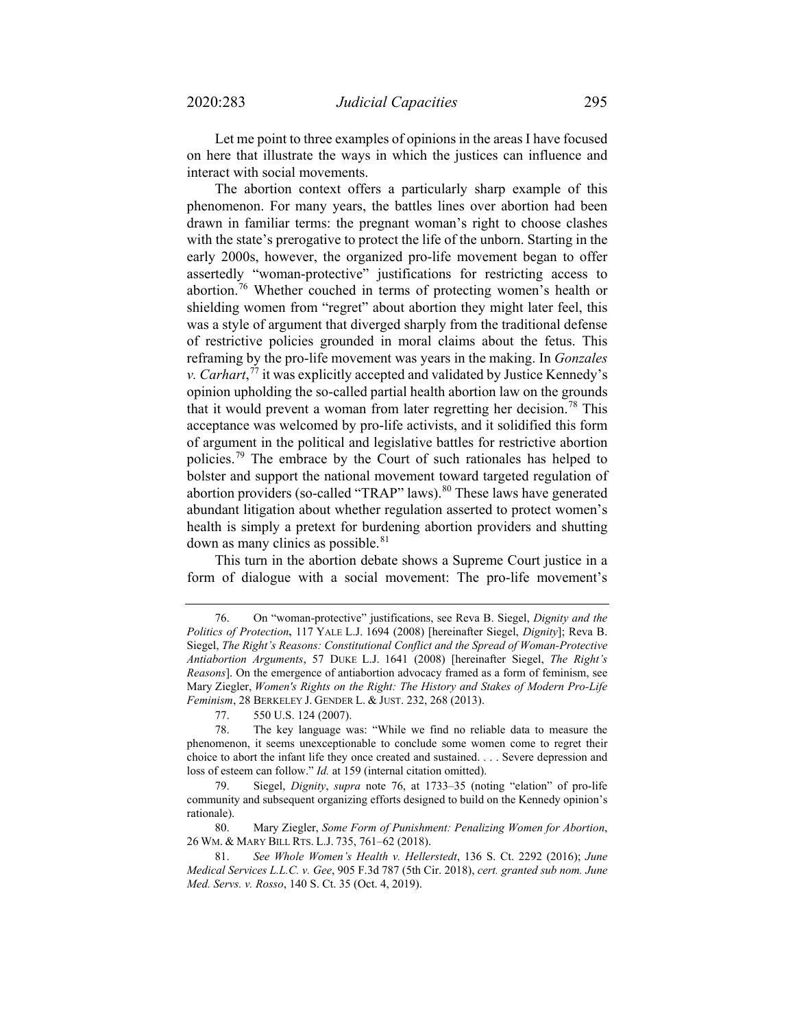Let me point to three examples of opinions in the areas I have focused on here that illustrate the ways in which the justices can influence and interact with social movements.

<span id="page-12-0"></span>The abortion context offers a particularly sharp example of this phenomenon. For many years, the battles lines over abortion had been drawn in familiar terms: the pregnant woman's right to choose clashes with the state's prerogative to protect the life of the unborn. Starting in the early 2000s, however, the organized pro-life movement began to offer assertedly "woman-protective" justifications for restricting access to abortion.<sup>[76](#page-12-1)</sup> Whether couched in terms of protecting women's health or shielding women from "regret" about abortion they might later feel, this was a style of argument that diverged sharply from the traditional defense of restrictive policies grounded in moral claims about the fetus. This reframing by the pro-life movement was years in the making. In *Gonzales v. Carhart*, [77](#page-12-2) it was explicitly accepted and validated by Justice Kennedy's opinion upholding the so-called partial health abortion law on the grounds that it would prevent a woman from later regretting her decision.<sup>[78](#page-12-3)</sup> This acceptance was welcomed by pro-life activists, and it solidified this form of argument in the political and legislative battles for restrictive abortion policies.<sup>[79](#page-12-4)</sup> The embrace by the Court of such rationales has helped to bolster and support the national movement toward targeted regulation of abortion providers (so-called "TRAP" laws).<sup>[80](#page-12-5)</sup> These laws have generated abundant litigation about whether regulation asserted to protect women's health is simply a pretext for burdening abortion providers and shutting down as many clinics as possible.<sup>[81](#page-12-6)</sup>

This turn in the abortion debate shows a Supreme Court justice in a form of dialogue with a social movement: The pro-life movement's

<span id="page-12-1"></span><sup>76.</sup> On "woman-protective" justifications, see Reva B. Siegel, *Dignity and the Politics of Protection***,** 117 YALE L.J. 1694 (2008) [hereinafter Siegel, *Dignity*]; Reva B. Siegel, *The Right's Reasons: Constitutional Conflict and the Spread of Woman-Protective Antiabortion Arguments*, 57 DUKE L.J. 1641 (2008) [hereinafter Siegel, *The Right's Reasons*]. On the emergence of antiabortion advocacy framed as a form of feminism, see Mary Ziegler, *[Women's](https://1.next.westlaw.com/Link/Document/FullText?findType=Y&serNum=0392983084&pubNum=0185243&originatingDoc=I3a3f3f2cf58011e598dc8b09b4f043e0&refType=LR&fi=co_pp_sp_185243_268&originationContext=document&transitionType=DocumentItem&contextData=(sc.DocLink)#co_pp_sp_185243_268) Rights on the Right: The History and Stakes of Modern Pro-Life Feminism*, 28 [BERKELEY](https://1.next.westlaw.com/Link/Document/FullText?findType=Y&serNum=0392983084&pubNum=0185243&originatingDoc=I3a3f3f2cf58011e598dc8b09b4f043e0&refType=LR&fi=co_pp_sp_185243_268&originationContext=document&transitionType=DocumentItem&contextData=(sc.DocLink)#co_pp_sp_185243_268) J. GENDER L. & JUST. 232, 268 (2013).

<sup>77.</sup> 550 U.S. 124 (2007).

<span id="page-12-3"></span><span id="page-12-2"></span><sup>78.</sup> The key language was: "While we find no reliable data to measure the phenomenon, it seems unexceptionable to conclude some women come to regret their choice to abort the infant life they once created and sustained. . . . Severe depression and loss of esteem can follow." *Id.* at 159 (internal citation omitted).

<span id="page-12-4"></span><sup>79.</sup> Siegel, *Dignity*, *supra* note [76,](#page-12-0) at 1733–35 (noting "elation" of pro-life community and subsequent organizing efforts designed to build on the Kennedy opinion's rationale).

<span id="page-12-5"></span><sup>80.</sup> Mary Ziegler, *Some Form of Punishment: Penalizing Women for Abortion*, 26 WM. & MARY BILL RTS. L.J. 735, 761–62 (2018).

<span id="page-12-6"></span><sup>81.</sup> *See Whole Women's Health v. Hellerstedt*, 136 S. Ct. 2292 (2016); *June Medical Services L.L.C. v. Gee*, 905 F.3d 787 (5th Cir. 2018), *cert. granted sub nom. June Med. Servs. v. Rosso*, 140 S. Ct. 35 (Oct. 4, 2019).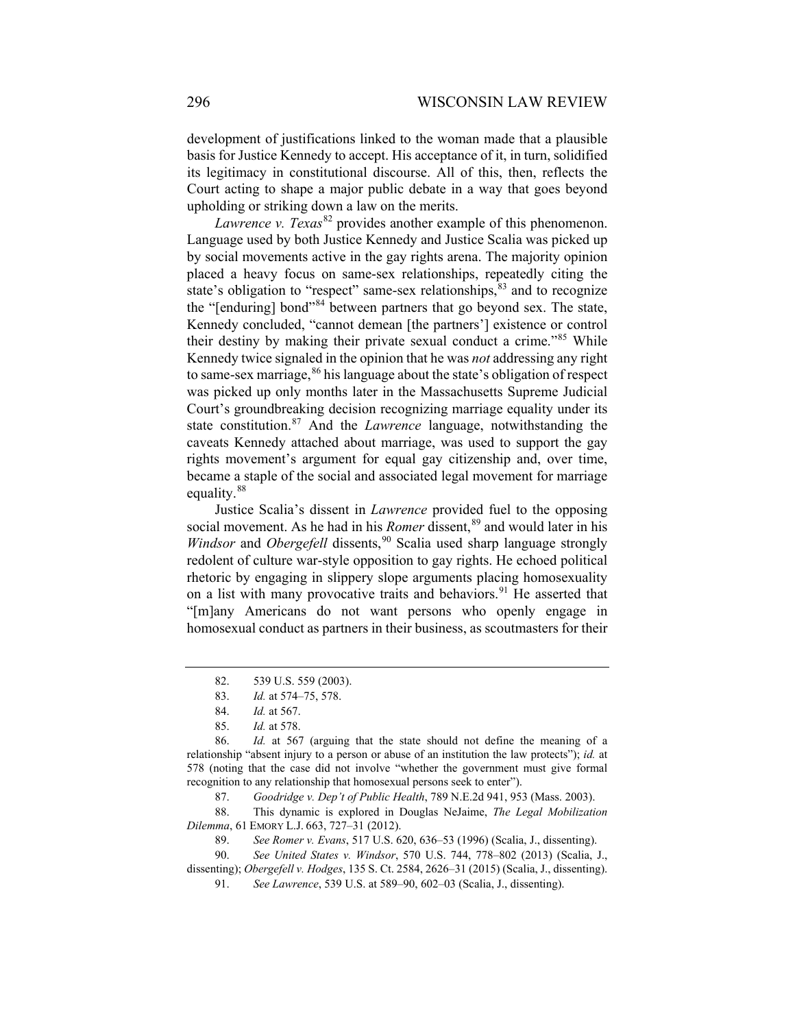development of justifications linked to the woman made that a plausible basis for Justice Kennedy to accept. His acceptance of it, in turn, solidified its legitimacy in constitutional discourse. All of this, then, reflects the Court acting to shape a major public debate in a way that goes beyond upholding or striking down a law on the merits.

*Lawrence v. Texas*<sup>[82](#page-13-0)</sup> provides another example of this phenomenon. Language used by both Justice Kennedy and Justice Scalia was picked up by social movements active in the gay rights arena. The majority opinion placed a heavy focus on same-sex relationships, repeatedly citing the state's obligation to "respect" same-sex relationships,  $83$  and to recognize the "[enduring] bond"<sup>[84](#page-13-2)</sup> between partners that go beyond sex. The state, Kennedy concluded, "cannot demean [the partners'] existence or control their destiny by making their private sexual conduct a crime."<sup>[85](#page-13-3)</sup> While Kennedy twice signaled in the opinion that he was *not* addressing any right to same-sex marriage,  $86$  his language about the state's obligation of respect was picked up only months later in the Massachusetts Supreme Judicial Court's groundbreaking decision recognizing marriage equality under its state constitution.<sup>[87](#page-13-5)</sup> And the *Lawrence* language, notwithstanding the caveats Kennedy attached about marriage, was used to support the gay rights movement's argument for equal gay citizenship and, over time, became a staple of the social and associated legal movement for marriage equality.<sup>[88](#page-13-6)</sup>

<span id="page-13-10"></span>Justice Scalia's dissent in *Lawrence* provided fuel to the opposing social movement. As he had in his *Romer* dissent,<sup>[89](#page-13-7)</sup> and would later in his *Windsor* and *Obergefell* dissents,<sup>[90](#page-13-8)</sup> Scalia used sharp language strongly redolent of culture war-style opposition to gay rights. He echoed political rhetoric by engaging in slippery slope arguments placing homosexuality on a list with many provocative traits and behaviors.<sup>[91](#page-13-9)</sup> He asserted that "[m]any Americans do not want persons who openly engage in homosexual conduct as partners in their business, as scoutmasters for their

<span id="page-13-6"></span><span id="page-13-5"></span>88. This dynamic is explored in Douglas NeJaime, *The Legal Mobilization Dilemma*, 61 EMORY L.J. 663, 727–31 (2012).

89. *See Romer v. Evans*, 517 U.S. 620, 636–53 (1996) (Scalia, J., dissenting).

<span id="page-13-9"></span><span id="page-13-8"></span><span id="page-13-7"></span>90. *See United States v. Windsor*, 570 U.S. 744, 778–802 (2013) (Scalia, J., dissenting); *Obergefell v. Hodges*, 135 S. Ct. 2584, 2626–31 (2015) (Scalia, J., dissenting).

91. *See Lawrence*, 539 U.S. at 589–90, 602–03 (Scalia, J., dissenting).

<sup>82.</sup> 539 U.S. 559 (2003).

<sup>83.</sup> *Id.* at 574–75, 578.

<sup>84.</sup> *Id.* at 567.

<sup>85.</sup> *Id.* at 578.

<span id="page-13-4"></span><span id="page-13-3"></span><span id="page-13-2"></span><span id="page-13-1"></span><span id="page-13-0"></span><sup>86.</sup> *Id.* at 567 (arguing that the state should not define the meaning of a relationship "absent injury to a person or abuse of an institution the law protects"); *id.* at 578 (noting that the case did not involve "whether the government must give formal recognition to any relationship that homosexual persons seek to enter").

<sup>87.</sup> *Goodridge v. Dep't of Public Health*, 789 N.E.2d 941, 953 (Mass. 2003).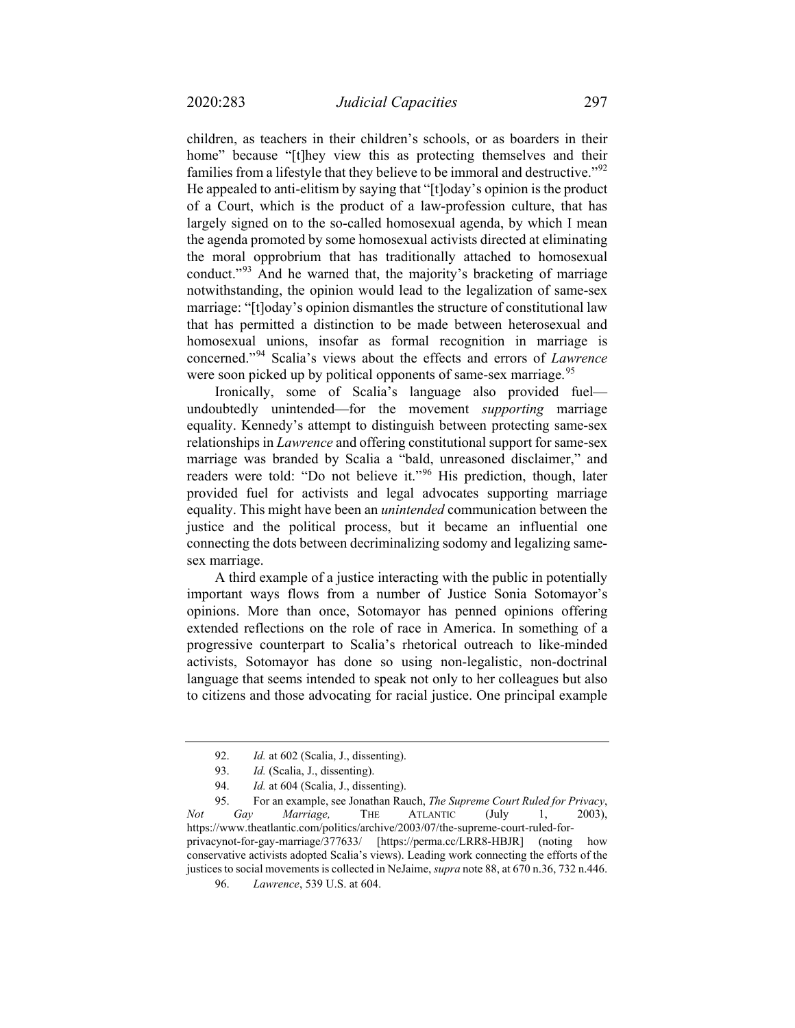children, as teachers in their children's schools, or as boarders in their home" because "[t]hey view this as protecting themselves and their families from a lifestyle that they believe to be immoral and destructive."<sup>[92](#page-14-0)</sup> He appealed to anti-elitism by saying that "[t]oday's opinion is the product of a Court, which is the product of a law-profession culture, that has largely signed on to the so-called homosexual agenda, by which I mean the agenda promoted by some homosexual activists directed at eliminating the moral opprobrium that has traditionally attached to homosexual conduct."<sup>[93](#page-14-1)</sup> And he warned that, the majority's bracketing of marriage notwithstanding, the opinion would lead to the legalization of same-sex marriage: "[t]oday's opinion dismantles the structure of constitutional law that has permitted a distinction to be made between heterosexual and homosexual unions, insofar as formal recognition in marriage is concerned."[94](#page-14-2) Scalia's views about the effects and errors of *Lawrence* were soon picked up by political opponents of same-sex marriage.<sup>[95](#page-14-3)</sup>

Ironically, some of Scalia's language also provided fuel undoubtedly unintended—for the movement *supporting* marriage equality. Kennedy's attempt to distinguish between protecting same-sex relationships in *Lawrence* and offering constitutional support for same-sex marriage was branded by Scalia a "bald, unreasoned disclaimer," and readers were told: "Do not believe it."<sup>[96](#page-14-4)</sup> His prediction, though, later provided fuel for activists and legal advocates supporting marriage equality. This might have been an *unintended* communication between the justice and the political process, but it became an influential one connecting the dots between decriminalizing sodomy and legalizing samesex marriage.

A third example of a justice interacting with the public in potentially important ways flows from a number of Justice Sonia Sotomayor's opinions. More than once, Sotomayor has penned opinions offering extended reflections on the role of race in America. In something of a progressive counterpart to Scalia's rhetorical outreach to like-minded activists, Sotomayor has done so using non-legalistic, non-doctrinal language that seems intended to speak not only to her colleagues but also to citizens and those advocating for racial justice. One principal example

<sup>92.</sup> *Id.* at 602 (Scalia, J., dissenting).

<sup>93.</sup> *Id.* (Scalia, J., dissenting).

<sup>94.</sup> *Id.* at 604 (Scalia, J., dissenting).

<span id="page-14-4"></span><span id="page-14-3"></span><span id="page-14-2"></span><span id="page-14-1"></span><span id="page-14-0"></span><sup>95.</sup> For an example, see Jonathan Rauch, *The Supreme Court Ruled for Privacy*, *Not Gay Marriage,* THE ATLANTIC (July 1, 2003), [https://www.theatlantic.com/politics/archive/2003/07/the-supreme-court-ruled-for](https://www.theatlantic.com/politics/archive/2003/07/the-supreme-court-ruled-for-privacynot-for-gay-marriage/377633/)[privacynot-for-gay-marriage/377633/](https://www.theatlantic.com/politics/archive/2003/07/the-supreme-court-ruled-for-privacynot-for-gay-marriage/377633/) [https://perma.cc/LRR8-HBJR] (noting how conservative activists adopted Scalia's views). Leading work connecting the efforts of the justices to social movements is collected in NeJaime, *supra* not[e 88,](#page-13-10) at 670 n.36, 732 n.446.

<sup>96.</sup> *Lawrence*, 539 U.S. at 604.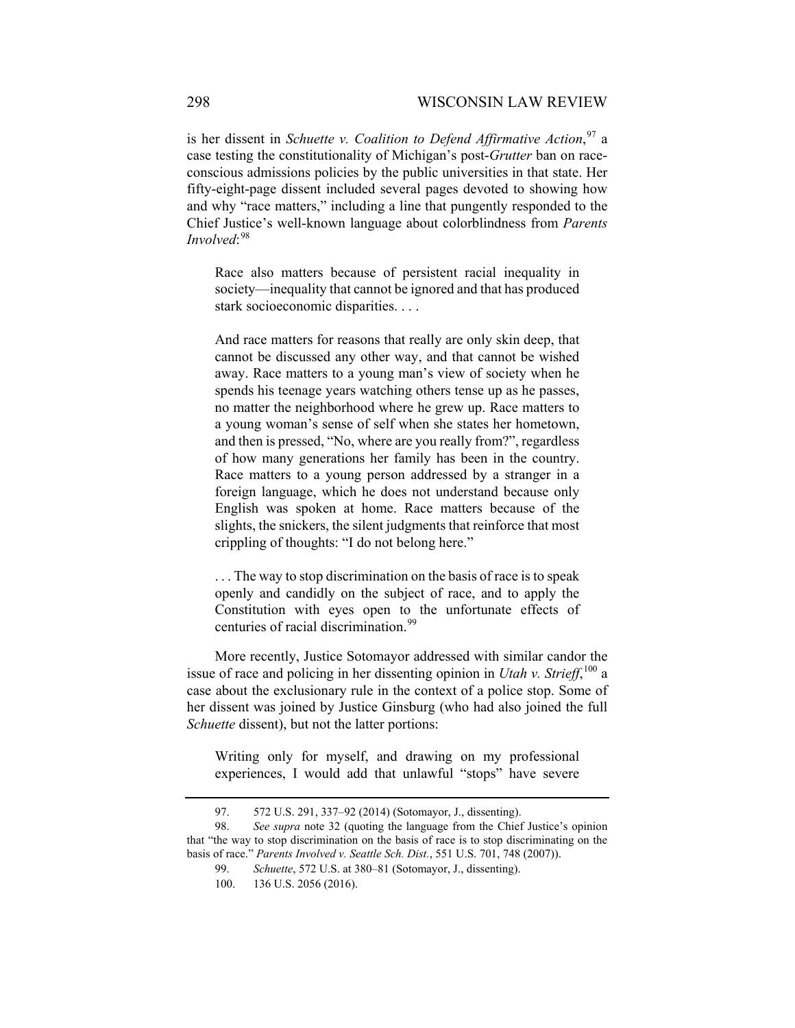is her dissent in *Schuette v. Coalition to Defend Affirmative Action*, [97](#page-15-0) a case testing the constitutionality of Michigan's post-*Grutter* ban on raceconscious admissions policies by the public universities in that state. Her fifty-eight-page dissent included several pages devoted to showing how and why "race matters," including a line that pungently responded to the Chief Justice's well-known language about colorblindness from *Parents Involved*: [98](#page-15-1)

Race also matters because of persistent racial inequality in society—inequality that cannot be ignored and that has produced stark socioeconomic disparities. . . .

And race matters for reasons that really are only skin deep, that cannot be discussed any other way, and that cannot be wished away. Race matters to a young man's view of society when he spends his teenage years watching others tense up as he passes, no matter the neighborhood where he grew up. Race matters to a young woman's sense of self when she states her hometown, and then is pressed, "No, where are you really from?", regardless of how many generations her family has been in the country. Race matters to a young person addressed by a stranger in a foreign language, which he does not understand because only English was spoken at home. Race matters because of the slights, the snickers, the silent judgments that reinforce that most crippling of thoughts: "I do not belong here."

. . . The way to stop discrimination on the basis of race is to speak openly and candidly on the subject of race, and to apply the Constitution with eyes open to the unfortunate effects of centuries of racial discrimination. [99](#page-15-2)

More recently, Justice Sotomayor addressed with similar candor the issue of race and policing in her dissenting opinion in *Utah v. Strieff*, [100](#page-15-3) a case about the exclusionary rule in the context of a police stop. Some of her dissent was joined by Justice Ginsburg (who had also joined the full *Schuette* dissent), but not the latter portions:

Writing only for myself, and drawing on my professional experiences, I would add that unlawful "stops" have severe

<sup>97.</sup> 572 U.S. 291, 337–92 (2014) (Sotomayor, J., dissenting).

<span id="page-15-3"></span><span id="page-15-2"></span><span id="page-15-1"></span><span id="page-15-0"></span><sup>98.</sup> *See supra* note [32](#page-5-5) (quoting the language from the Chief Justice's opinion that "the way to stop discrimination on the basis of race is to stop discriminating on the basis of race." *Parents Involved v. Seattle Sch. Dist.*, 551 U.S. 701, 748 (2007)).

<sup>99.</sup> *Schuette*, 572 U.S. at 380–81 (Sotomayor, J., dissenting). 100. 136 U.S. 2056 (2016).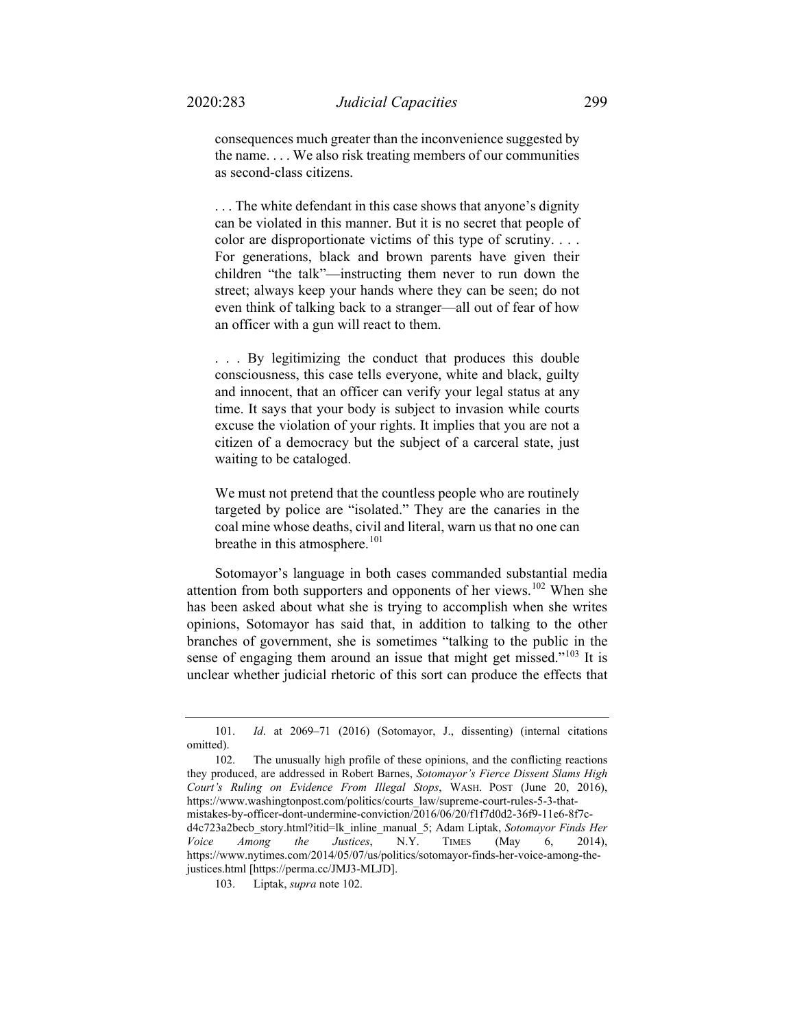consequences much greater than the inconvenience suggested by the name. . . . We also risk treating members of our communities as second-class citizens.

. . . The white defendant in this case shows that anyone's dignity can be violated in this manner. But it is no secret that people of color are disproportionate victims of this type of scrutiny. . . . For generations, black and brown parents have given their children "the talk"—instructing them never to run down the street; always keep your hands where they can be seen; do not even think of talking back to a stranger—all out of fear of how an officer with a gun will react to them.

. . . By legitimizing the conduct that produces this double consciousness, this case tells everyone, white and black, guilty and innocent, that an officer can verify your legal status at any time. It says that your body is subject to invasion while courts excuse the violation of your rights. It implies that you are not a citizen of a democracy but the subject of a carceral state, just waiting to be cataloged.

<span id="page-16-0"></span>We must not pretend that the countless people who are routinely targeted by police are "isolated." They are the canaries in the coal mine whose deaths, civil and literal, warn us that no one can breathe in this atmosphere. $101$ 

Sotomayor's language in both cases commanded substantial media attention from both supporters and opponents of her views.<sup>[102](#page-16-2)</sup> When she has been asked about what she is trying to accomplish when she writes opinions, Sotomayor has said that, in addition to talking to the other branches of government, she is sometimes "talking to the public in the sense of engaging them around an issue that might get missed."<sup>[103](#page-16-3)</sup> It is unclear whether judicial rhetoric of this sort can produce the effects that

<span id="page-16-2"></span>102. The unusually high profile of these opinions, and the conflicting reactions they produced, are addressed in Robert Barnes, *Sotomayor's Fierce Dissent Slams High Court's Ruling on Evidence From Illegal Stops*, WASH. POST (June 20, 2016), [https://www.washingtonpost.com/politics/courts\\_law/supreme-court-rules-5-3-that](https://www.washingtonpost.com/politics/courts_law/supreme-court-rules-5-3-that-mistakes-by-officer-dont-undermine-conviction/2016/06/20/f1f7d0d2-36f9-11e6-8f7c-d4c723a2becb_story.html?itid=lk_inline_manual_5)[mistakes-by-officer-dont-undermine-conviction/2016/06/20/f1f7d0d2-36f9-11e6-8f7c](https://www.washingtonpost.com/politics/courts_law/supreme-court-rules-5-3-that-mistakes-by-officer-dont-undermine-conviction/2016/06/20/f1f7d0d2-36f9-11e6-8f7c-d4c723a2becb_story.html?itid=lk_inline_manual_5)[d4c723a2becb\\_story.html?itid=lk\\_inline\\_manual\\_5;](https://www.washingtonpost.com/politics/courts_law/supreme-court-rules-5-3-that-mistakes-by-officer-dont-undermine-conviction/2016/06/20/f1f7d0d2-36f9-11e6-8f7c-d4c723a2becb_story.html?itid=lk_inline_manual_5) Adam Liptak, *Sotomayor Finds Her Voice Among the Justices*, N.Y. TIMES (May 6, 2014), [https://www.nytimes.com/2014/05/07/us/politics/sotomayor-finds-her-voice-among-the](https://www.nytimes.com/2014/05/07/us/politics/sotomayor-finds-her-voice-among-the-justices.html)[justices.html](https://www.nytimes.com/2014/05/07/us/politics/sotomayor-finds-her-voice-among-the-justices.html) [https://perma.cc/JMJ3-MLJD].

<span id="page-16-3"></span>103. Liptak, *supra* not[e 102.](#page-16-0)

<span id="page-16-1"></span><sup>101.</sup> *Id*. at 2069–71 (2016) (Sotomayor, J., dissenting) (internal citations omitted).